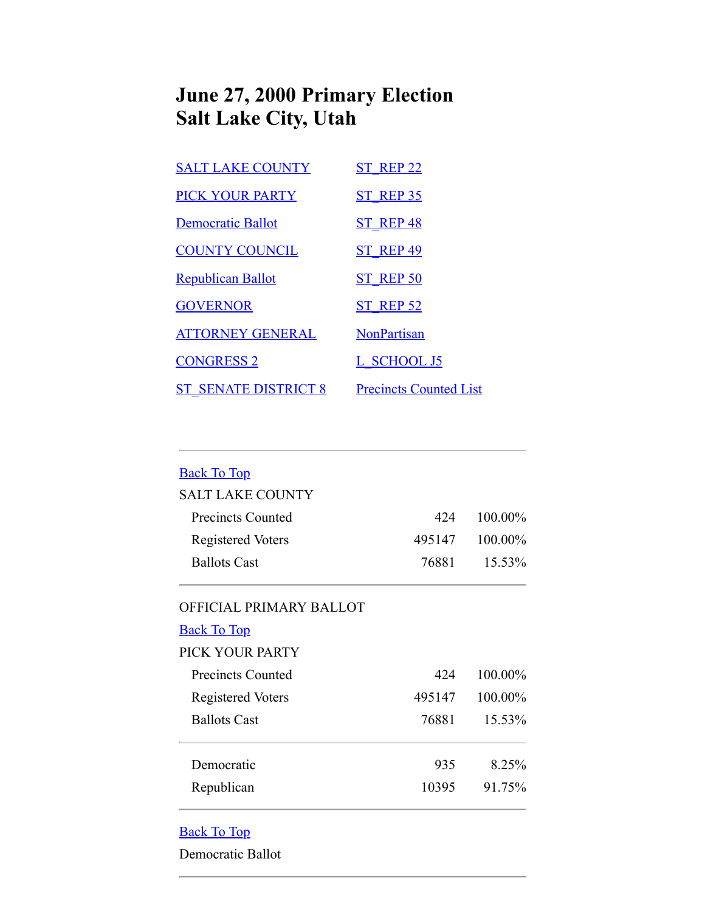## **June 27, 2000 Primary Election Salt Lake City, Utah**

| <b>SALT LAKE COUNTY</b>     | <b>ST REP 22</b>              |
|-----------------------------|-------------------------------|
| <b>PICK YOUR PARTY</b>      | <b>ST REP 35</b>              |
| <b>Democratic Ballot</b>    | <b>ST REP 48</b>              |
| <b>COUNTY COUNCIL</b>       | <b>ST REP 49</b>              |
| <b>Republican Ballot</b>    | <b>ST REP 50</b>              |
| <b>GOVERNOR</b>             | <b>ST REP 52</b>              |
| <b>ATTORNEY GENERAL</b>     | <b>NonPartisan</b>            |
| <b>CONGRESS 2</b>           | L SCHOOL J5                   |
| <b>ST SENATE DISTRICT 8</b> | <b>Precincts Counted List</b> |

<span id="page-0-1"></span><span id="page-0-0"></span>

| <b>Back To Top</b>       |        |         |
|--------------------------|--------|---------|
| <b>SALT LAKE COUNTY</b>  |        |         |
| <b>Precincts Counted</b> | 424    | 100.00% |
| <b>Registered Voters</b> | 495147 | 100.00% |
| <b>Ballots Cast</b>      | 76881  | 15.53%  |
| OFFICIAL PRIMARY BALLOT  |        |         |
| <b>Back To Top</b>       |        |         |
| PICK YOUR PARTY          |        |         |
| Precincts Counted        | 424    | 100.00% |
| <b>Registered Voters</b> | 495147 | 100.00% |
| <b>Ballots Cast</b>      | 76881  | 15.53%  |
| Democratic               | 935    | 8.25%   |
| Republican               | 10395  | 91.75%  |

## <span id="page-0-2"></span>Back To Top

Democratic Ballot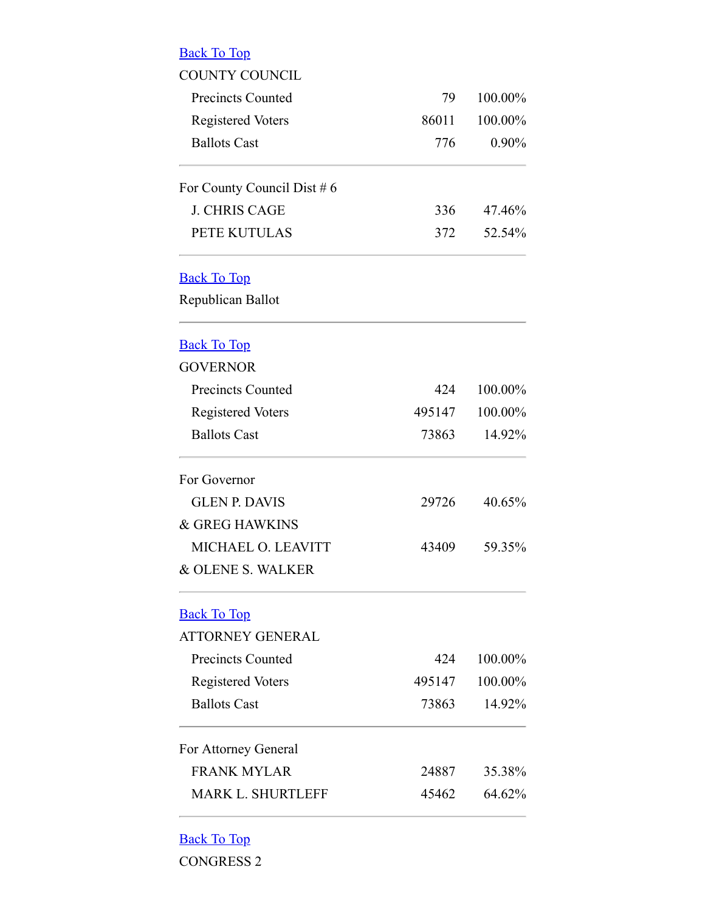<span id="page-1-2"></span><span id="page-1-1"></span><span id="page-1-0"></span>

| <b>Back To Top</b>            |        |          |
|-------------------------------|--------|----------|
| <b>COUNTY COUNCIL</b>         |        |          |
| <b>Precincts Counted</b>      | 79     | 100.00%  |
| <b>Registered Voters</b>      | 86011  | 100.00%  |
| <b>Ballots Cast</b>           | 776    | $0.90\%$ |
| For County Council Dist $# 6$ |        |          |
| <b>J. CHRIS CAGE</b>          | 336    | 47.46%   |
| PETE KUTULAS                  | 372    | 52.54%   |
| <b>Back To Top</b>            |        |          |
| Republican Ballot             |        |          |
| <b>Back To Top</b>            |        |          |
| <b>GOVERNOR</b>               |        |          |
| <b>Precincts Counted</b>      | 424    | 100.00%  |
| <b>Registered Voters</b>      | 495147 | 100.00%  |
| <b>Ballots Cast</b>           | 73863  | 14.92%   |
| For Governor                  |        |          |
| <b>GLEN P. DAVIS</b>          | 29726  | 40.65%   |
| & GREG HAWKINS                |        |          |
| MICHAEL O. LEAVITT            | 43409  | 59.35%   |
| & OLENE S. WALKER             |        |          |
| <b>Back To Top</b>            |        |          |
| <b>ATTORNEY GENERAL</b>       |        |          |
| <b>Precincts Counted</b>      | 424    | 100.00%  |
| <b>Registered Voters</b>      | 495147 | 100.00%  |
| <b>Ballots Cast</b>           | 73863  | 14.92%   |
| For Attorney General          |        |          |
| <b>FRANK MYLAR</b>            | 24887  | 35.38%   |
| <b>MARK L. SHURTLEFF</b>      | 45462  | 64.62%   |
|                               |        |          |

## <span id="page-1-4"></span><span id="page-1-3"></span>Back To Top

CONGRESS 2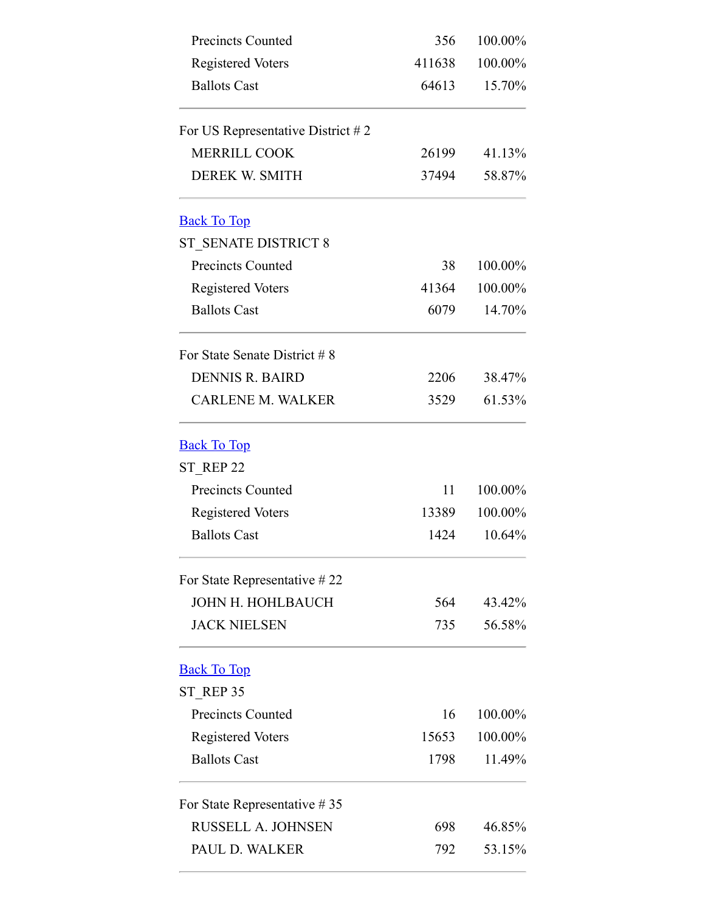<span id="page-2-2"></span><span id="page-2-1"></span><span id="page-2-0"></span>

| <b>Precincts Counted</b>            | 356    | 100.00% |  |
|-------------------------------------|--------|---------|--|
| <b>Registered Voters</b>            | 411638 | 100.00% |  |
| <b>Ballots Cast</b>                 | 64613  | 15.70%  |  |
| For US Representative District $#2$ |        |         |  |
| <b>MERRILL COOK</b>                 | 26199  | 41.13%  |  |
| DEREK W. SMITH                      | 37494  | 58.87%  |  |
| <b>Back To Top</b>                  |        |         |  |
| ST SENATE DISTRICT 8                |        |         |  |
| <b>Precincts Counted</b>            | 38     | 100.00% |  |
| <b>Registered Voters</b>            | 41364  | 100.00% |  |
| <b>Ballots Cast</b>                 | 6079   | 14.70%  |  |
| For State Senate District # 8       |        |         |  |
| <b>DENNIS R. BAIRD</b>              | 2206   | 38.47%  |  |
| <b>CARLENE M. WALKER</b>            | 3529   | 61.53%  |  |
| <b>Back To Top</b>                  |        |         |  |
| ST REP 22                           |        |         |  |
| <b>Precincts Counted</b>            | 11     | 100.00% |  |
| <b>Registered Voters</b>            | 13389  | 100.00% |  |
| <b>Ballots Cast</b>                 | 1424   | 10.64%  |  |
| For State Representative #22        |        |         |  |
| <b>JOHN H. HOHLBAUCH</b>            | 564    | 43.42%  |  |
| <b>JACK NIELSEN</b>                 | 735    | 56.58%  |  |
| <b>Back To Top</b>                  |        |         |  |
| ST REP 35                           |        |         |  |
| <b>Precincts Counted</b>            | 16     | 100.00% |  |
| <b>Registered Voters</b>            | 15653  | 100.00% |  |
| <b>Ballots Cast</b>                 | 1798   | 11.49%  |  |
| For State Representative $#35$      |        |         |  |
| <b>RUSSELL A. JOHNSEN</b>           | 698    | 46.85%  |  |
| PAUL D. WALKER                      | 792    | 53.15%  |  |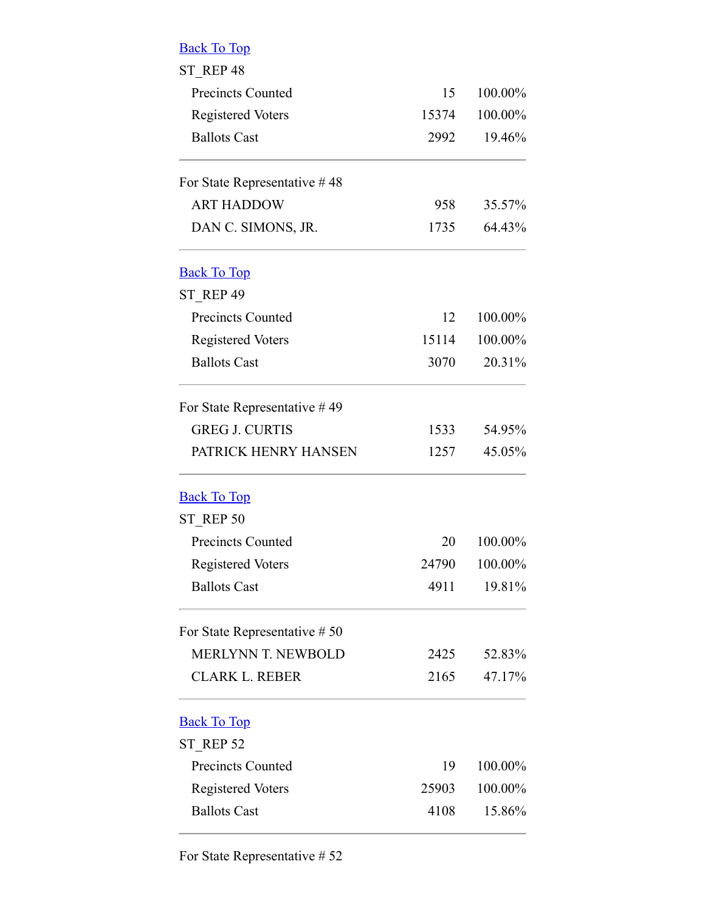<span id="page-3-1"></span><span id="page-3-0"></span>

| <b>Back To Top</b>              |       |         |  |
|---------------------------------|-------|---------|--|
| ST REP 48                       |       |         |  |
| <b>Precincts Counted</b>        | 15    | 100.00% |  |
| <b>Registered Voters</b>        | 15374 | 100.00% |  |
| <b>Ballots Cast</b>             | 2992  | 19.46%  |  |
| For State Representative #48    |       |         |  |
| <b>ART HADDOW</b>               | 958   | 35.57%  |  |
| DAN C. SIMONS, JR.              | 1735  | 64.43%  |  |
| <b>Back To Top</b>              |       |         |  |
| ST REP 49                       |       |         |  |
| <b>Precincts Counted</b>        | 12    | 100.00% |  |
| <b>Registered Voters</b>        | 15114 | 100.00% |  |
| <b>Ballots Cast</b>             | 3070  | 20.31%  |  |
| For State Representative $#49$  |       |         |  |
| <b>GREG J. CURTIS</b>           | 1533  | 54.95%  |  |
| PATRICK HENRY HANSEN            | 1257  | 45.05%  |  |
| <b>Back To Top</b>              |       |         |  |
| ST REP 50                       |       |         |  |
| <b>Precincts Counted</b>        | 20    | 100.00% |  |
| <b>Registered Voters</b>        | 24790 | 100.00% |  |
| <b>Ballots Cast</b>             | 4911  | 19.81%  |  |
| For State Representative $# 50$ |       |         |  |
| <b>MERLYNN T. NEWBOLD</b>       | 2425  | 52.83%  |  |
| <b>CLARK L. REBER</b>           | 2165  | 47.17%  |  |
| <b>Back To Top</b>              |       |         |  |
| ST REP 52                       |       |         |  |
| <b>Precincts Counted</b>        | 19    | 100.00% |  |
| <b>Registered Voters</b>        | 25903 | 100.00% |  |
| <b>Ballots Cast</b>             | 4108  | 15.86%  |  |

<span id="page-3-3"></span><span id="page-3-2"></span>For State Representative # 52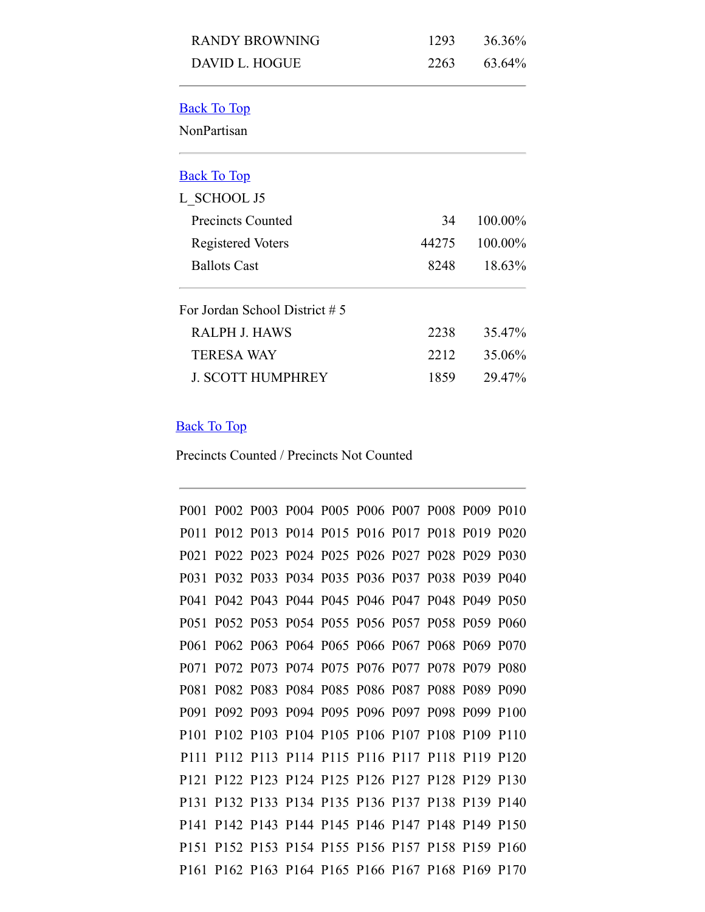<span id="page-4-1"></span><span id="page-4-0"></span>

| <b>RANDY BROWNING</b>          | 1293  | 36.36%  |
|--------------------------------|-------|---------|
| <b>DAVID L. HOGUE</b>          | 2263  | 63.64%  |
| <b>Back To Top</b>             |       |         |
| NonPartisan                    |       |         |
| <b>Back To Top</b>             |       |         |
| L SCHOOL J5                    |       |         |
| <b>Precincts Counted</b>       | 34    | 100.00% |
| Registered Voters              | 44275 | 100.00% |
| <b>Ballots Cast</b>            | 8248  | 18.63%  |
| For Jordan School District # 5 |       |         |
| <b>RALPH J. HAWS</b>           | 2238  | 35.47%  |
| <b>TERESA WAY</b>              | 2212  | 35.06%  |
| <b>J. SCOTT HUMPHREY</b>       | 1859  | 29.47%  |

## <span id="page-4-2"></span>Back To Top

Precincts Counted / Precincts Not Counted

|                   | P001 P002 P003 P004 P005 P006 P007 P008 P009 P010 |  |                                              |  |  |
|-------------------|---------------------------------------------------|--|----------------------------------------------|--|--|
| P <sub>0</sub> 11 |                                                   |  | P012 P013 P014 P015 P016 P017 P018 P019 P020 |  |  |
| P <sub>021</sub>  |                                                   |  | P022 P023 P024 P025 P026 P027 P028 P029 P030 |  |  |
| P <sub>0</sub> 31 | P032 P033 P034 P035 P036 P037 P038 P039 P040      |  |                                              |  |  |
|                   | P041 P042 P043 P044 P045 P046 P047 P048 P049 P050 |  |                                              |  |  |
|                   | P051 P052 P053 P054 P055 P056 P057 P058 P059 P060 |  |                                              |  |  |
| P <sub>061</sub>  |                                                   |  | P062 P063 P064 P065 P066 P067 P068 P069 P070 |  |  |
| P <sub>071</sub>  |                                                   |  | P072 P073 P074 P075 P076 P077 P078 P079 P080 |  |  |
| P081              | P082 P083 P084 P085 P086 P087 P088 P089 P090      |  |                                              |  |  |
|                   | P091 P092 P093 P094 P095 P096 P097 P098 P099 P100 |  |                                              |  |  |
| P <sub>101</sub>  |                                                   |  | P102 P103 P104 P105 P106 P107 P108 P109 P110 |  |  |
|                   | P111 P112 P113 P114 P115 P116 P117 P118 P119 P120 |  |                                              |  |  |
|                   | P121 P122 P123 P124 P125 P126 P127 P128 P129 P130 |  |                                              |  |  |
|                   | P131 P132 P133 P134 P135 P136 P137 P138 P139 P140 |  |                                              |  |  |
|                   | P141 P142 P143 P144 P145 P146 P147 P148 P149 P150 |  |                                              |  |  |
| P <sub>151</sub>  |                                                   |  | P152 P153 P154 P155 P156 P157 P158 P159 P160 |  |  |
|                   | P161 P162 P163 P164 P165 P166 P167 P168 P169 P170 |  |                                              |  |  |